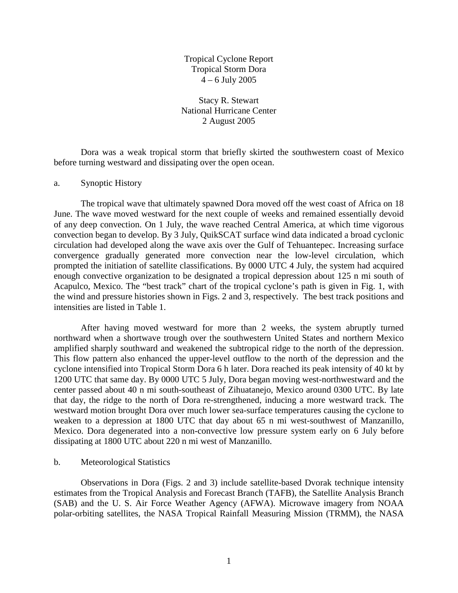Tropical Cyclone Report Tropical Storm Dora  $4 - 6$  July 2005

Stacy R. Stewart National Hurricane Center 2 August 2005

 Dora was a weak tropical storm that briefly skirted the southwestern coast of Mexico before turning westward and dissipating over the open ocean.

## a. Synoptic History

The tropical wave that ultimately spawned Dora moved off the west coast of Africa on 18 June. The wave moved westward for the next couple of weeks and remained essentially devoid of any deep convection. On 1 July, the wave reached Central America, at which time vigorous convection began to develop. By 3 July, QuikSCAT surface wind data indicated a broad cyclonic circulation had developed along the wave axis over the Gulf of Tehuantepec. Increasing surface convergence gradually generated more convection near the low-level circulation, which prompted the initiation of satellite classifications. By 0000 UTC 4 July, the system had acquired enough convective organization to be designated a tropical depression about 125 n mi south of Acapulco, Mexico. The "best track" chart of the tropical cyclone's path is given in Fig. 1, with the wind and pressure histories shown in Figs. 2 and 3, respectively. The best track positions and intensities are listed in Table 1.

 After having moved westward for more than 2 weeks, the system abruptly turned northward when a shortwave trough over the southwestern United States and northern Mexico amplified sharply southward and weakened the subtropical ridge to the north of the depression. This flow pattern also enhanced the upper-level outflow to the north of the depression and the cyclone intensified into Tropical Storm Dora 6 h later. Dora reached its peak intensity of 40 kt by 1200 UTC that same day. By 0000 UTC 5 July, Dora began moving west-northwestward and the center passed about 40 n mi south-southeast of Zihuatanejo, Mexico around 0300 UTC. By late that day, the ridge to the north of Dora re-strengthened, inducing a more westward track. The westward motion brought Dora over much lower sea-surface temperatures causing the cyclone to weaken to a depression at 1800 UTC that day about 65 n mi west-southwest of Manzanillo, Mexico. Dora degenerated into a non-convective low pressure system early on 6 July before dissipating at 1800 UTC about 220 n mi west of Manzanillo.

## b. Meteorological Statistics

 Observations in Dora (Figs. 2 and 3) include satellite-based Dvorak technique intensity estimates from the Tropical Analysis and Forecast Branch (TAFB), the Satellite Analysis Branch (SAB) and the U. S. Air Force Weather Agency (AFWA). Microwave imagery from NOAA polar-orbiting satellites, the NASA Tropical Rainfall Measuring Mission (TRMM), the NASA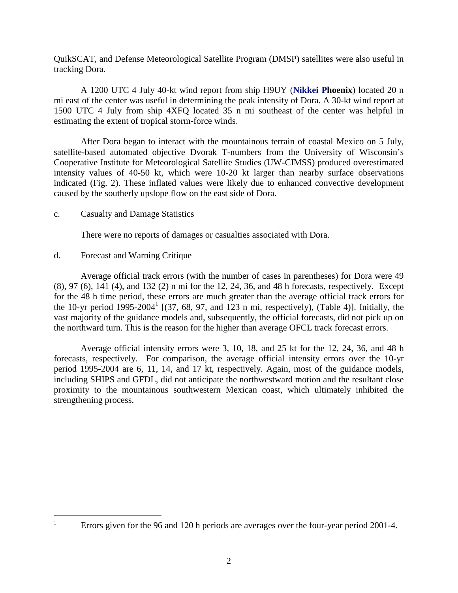QuikSCAT, and Defense Meteorological Satellite Program (DMSP) satellites were also useful in tracking Dora.

 A 1200 UTC 4 July 40-kt wind report from ship H9UY (**Nikkei Phoenix**) located 20 n mi east of the center was useful in determining the peak intensity of Dora. A 30-kt wind report at 1500 UTC 4 July from ship 4XFQ located 35 n mi southeast of the center was helpful in estimating the extent of tropical storm-force winds.

 After Dora began to interact with the mountainous terrain of coastal Mexico on 5 July, satellite-based automated objective Dvorak T-numbers from the University of Wisconsin's Cooperative Institute for Meteorological Satellite Studies (UW-CIMSS) produced overestimated intensity values of 40-50 kt, which were 10-20 kt larger than nearby surface observations indicated (Fig. 2). These inflated values were likely due to enhanced convective development caused by the southerly upslope flow on the east side of Dora.

## c. Casualty and Damage Statistics

There were no reports of damages or casualties associated with Dora.

## d. Forecast and Warning Critique

 Average official track errors (with the number of cases in parentheses) for Dora were 49 (8), 97 (6), 141 (4), and 132 (2) n mi for the 12, 24, 36, and 48 h forecasts, respectively. Except for the 48 h time period, these errors are much greater than the average official track errors for the 10-yr period  $1995-2004<sup>1</sup>$  [(37, 68, 97, and 123 n mi, respectively), (Table 4)]. Initially, the vast majority of the guidance models and, subsequently, the official forecasts, did not pick up on the northward turn. This is the reason for the higher than average OFCL track forecast errors.

 Average official intensity errors were 3, 10, 18, and 25 kt for the 12, 24, 36, and 48 h forecasts, respectively. For comparison, the average official intensity errors over the 10-yr period 1995-2004 are 6, 11, 14, and 17 kt, respectively. Again, most of the guidance models, including SHIPS and GFDL, did not anticipate the northwestward motion and the resultant close proximity to the mountainous southwestern Mexican coast, which ultimately inhibited the strengthening process.

 $\overline{a}$ 1

Errors given for the 96 and 120 h periods are averages over the four-year period 2001-4.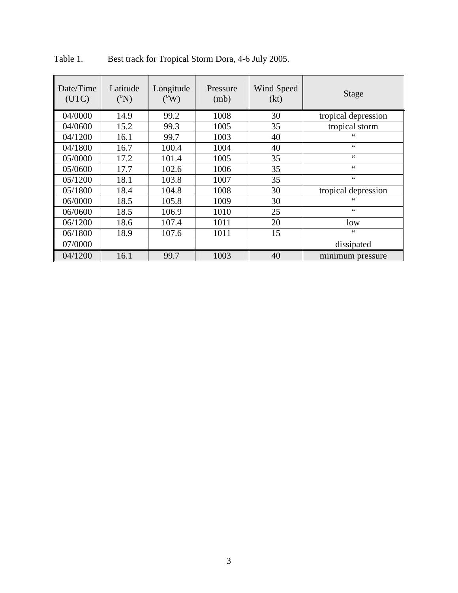| Date/Time<br>(UTC) | Latitude<br>$({}^{0}\mathrm{N})$ | Longitude<br>$({}^0\text{W})$ | Pressure<br>(mb) | Wind Speed<br>(kt) | <b>Stage</b>        |  |
|--------------------|----------------------------------|-------------------------------|------------------|--------------------|---------------------|--|
| 04/0000            | 14.9                             | 99.2                          | 1008             | 30                 | tropical depression |  |
| 04/0600            | 15.2                             | 99.3                          | 1005             | 35                 | tropical storm      |  |
| 04/1200            | 16.1                             | 99.7                          | 1003             | 40                 | 66                  |  |
| 04/1800            | 16.7                             | 100.4                         | 1004             | 40                 | $\zeta$ $\zeta$     |  |
| 05/0000            | 17.2                             | 101.4                         | 1005             | 35                 | 66                  |  |
| 05/0600            | 17.7                             | 102.6                         | 1006             | 35                 | $\zeta$ $\zeta$     |  |
| 05/1200            | 18.1                             | 103.8                         | 1007             | 35                 | $\zeta$ $\zeta$     |  |
| 05/1800            | 18.4                             | 104.8                         | 1008             | 30                 | tropical depression |  |
| 06/0000            | 18.5                             | 105.8                         | 1009             | 30                 | 66                  |  |
| 06/0600            | 18.5                             | 106.9                         | 1010             | 25                 | 66                  |  |
| 06/1200            | 18.6                             | 107.4                         | 1011             | 20                 | low                 |  |
| 06/1800            | 18.9                             | 107.6                         | 1011             | 15                 | 66                  |  |
| 07/0000            |                                  |                               |                  |                    | dissipated          |  |
| 04/1200            | 16.1                             | 99.7                          | 1003             | 40                 | minimum pressure    |  |

Table 1. Best track for Tropical Storm Dora, 4-6 July 2005.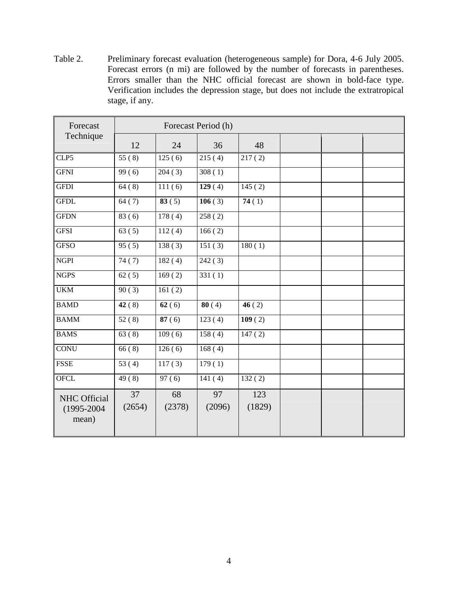Table 2. Preliminary forecast evaluation (heterogeneous sample) for Dora, 4-6 July 2005. Forecast errors (n mi) are followed by the number of forecasts in parentheses. Errors smaller than the NHC official forecast are shown in bold-face type. Verification includes the depression stage, but does not include the extratropical stage, if any.

| Forecast                                        | Forecast Period (h) |                     |              |               |  |  |  |
|-------------------------------------------------|---------------------|---------------------|--------------|---------------|--|--|--|
| Technique                                       | 12                  | 24                  | 36           | 48            |  |  |  |
| CLP5                                            | 55(8)               | 125(6)              | 215(4)       | 217(2)        |  |  |  |
| <b>GFNI</b>                                     | 99(6)               | 204(3)              | 308(1)       |               |  |  |  |
| <b>GFDI</b>                                     | 64(8)               | 111(6)              | 129(4)       | 145(2)        |  |  |  |
| <b>GFDL</b>                                     | 64(7)               | 83(5)               | 106(3)       | 74(1)         |  |  |  |
| <b>GFDN</b>                                     | 83(6)               | 178(4)              | 258(2)       |               |  |  |  |
| <b>GFSI</b>                                     | 63(5)               | 112(4)              | 166(2)       |               |  |  |  |
| <b>GFSO</b>                                     | 95(5)               | 138(3)              | 151(3)       | 180(1)        |  |  |  |
| <b>NGPI</b>                                     | 74(7)               | 182(4)              | 242(3)       |               |  |  |  |
| <b>NGPS</b>                                     | 62(5)               | 169(2)              | 331(1)       |               |  |  |  |
| <b>UKM</b>                                      | 90(3)               | 161(2)              |              |               |  |  |  |
| <b>BAMD</b>                                     | 42(8)               | 62(6)               | 80(4)        | 46(2)         |  |  |  |
| <b>BAMM</b>                                     | 52(8)               | 87(6)               | 123(4)       | 109(2)        |  |  |  |
| <b>BAMS</b>                                     | 63(8)               | 109(6)              | 158(4)       | 147(2)        |  |  |  |
| <b>CONU</b>                                     | 66(8)               | $\overline{126(6)}$ | 168(4)       |               |  |  |  |
| <b>FSSE</b>                                     | 53(4)               | 117(3)              | 179(1)       |               |  |  |  |
| <b>OFCL</b>                                     | 49(8)               | 97(6)               | 141(4)       | 132(2)        |  |  |  |
| <b>NHC</b> Official<br>$(1995 - 2004)$<br>mean) | 37<br>(2654)        | 68<br>(2378)        | 97<br>(2096) | 123<br>(1829) |  |  |  |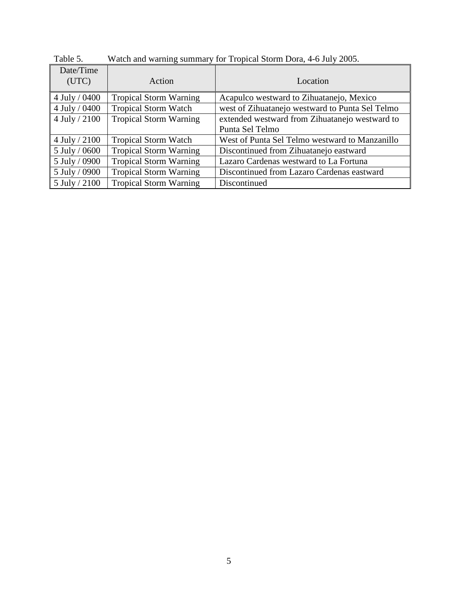| Date/Time<br>(UTC)    | Action                        | Location                                        |
|-----------------------|-------------------------------|-------------------------------------------------|
| 4 July / $0400$       | <b>Tropical Storm Warning</b> | Acapulco westward to Zihuatanejo, Mexico        |
| $\vert$ 4 July / 0400 | <b>Tropical Storm Watch</b>   | west of Zihuatanejo westward to Punta Sel Telmo |
| 4 July / 2100         | <b>Tropical Storm Warning</b> | extended westward from Zihuatanejo westward to  |
|                       |                               | Punta Sel Telmo                                 |
| $4$ July / 2100       | <b>Tropical Storm Watch</b>   | West of Punta Sel Telmo westward to Manzanillo  |
| $\vert$ 5 July / 0600 | <b>Tropical Storm Warning</b> | Discontinued from Zihuatanejo eastward          |
| $\vert$ 5 July / 0900 | <b>Tropical Storm Warning</b> | Lazaro Cardenas westward to La Fortuna          |
| $\vert$ 5 July / 0900 | <b>Tropical Storm Warning</b> | Discontinued from Lazaro Cardenas eastward      |
| $\vert$ 5 July / 2100 | <b>Tropical Storm Warning</b> | Discontinued                                    |

Table 5. Watch and warning summary for Tropical Storm Dora, 4-6 July 2005.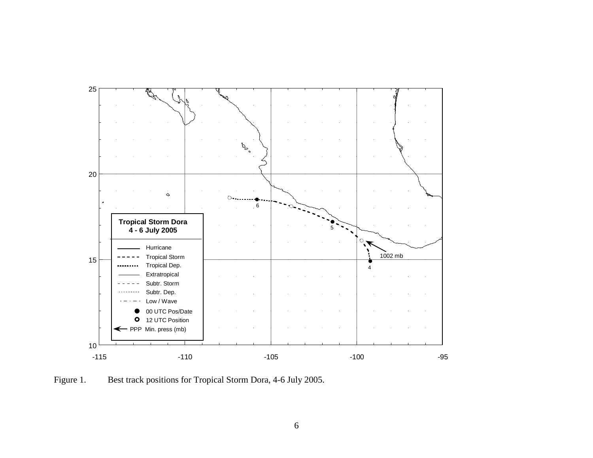

Figure 1. Best track positions for Tropical Storm Dora, 4-6 July 2005.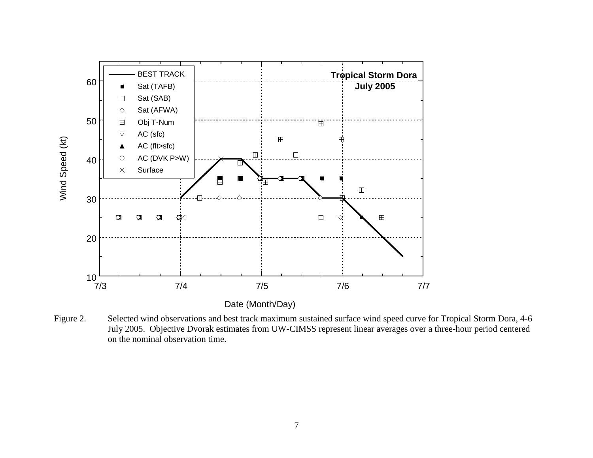

Figure 2. Selected wind observations and best track maximum sustained surface wind speed curve for Tropical Storm Dora, 4-6 July 2005. Objective Dvorak estimates from UW-CIMSS represent linear averages over a three-hour period centered on the nominal observation time.